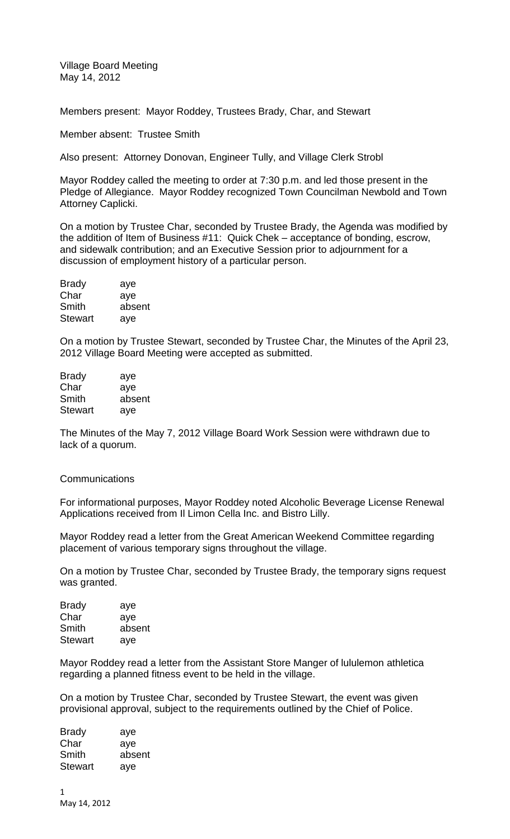Village Board Meeting May 14, 2012

Members present: Mayor Roddey, Trustees Brady, Char, and Stewart

Member absent: Trustee Smith

Also present: Attorney Donovan, Engineer Tully, and Village Clerk Strobl

Mayor Roddey called the meeting to order at 7:30 p.m. and led those present in the Pledge of Allegiance. Mayor Roddey recognized Town Councilman Newbold and Town Attorney Caplicki.

On a motion by Trustee Char, seconded by Trustee Brady, the Agenda was modified by the addition of Item of Business #11: Quick Chek – acceptance of bonding, escrow, and sidewalk contribution; and an Executive Session prior to adjournment for a discussion of employment history of a particular person.

| <b>Brady</b>   | aye    |
|----------------|--------|
| Char           | aye    |
| Smith          | absent |
| <b>Stewart</b> | aye    |

On a motion by Trustee Stewart, seconded by Trustee Char, the Minutes of the April 23, 2012 Village Board Meeting were accepted as submitted.

| <b>Brady</b>   | aye    |
|----------------|--------|
| Char           | aye    |
| Smith          | absent |
| <b>Stewart</b> | aye    |

The Minutes of the May 7, 2012 Village Board Work Session were withdrawn due to lack of a quorum.

#### Communications

For informational purposes, Mayor Roddey noted Alcoholic Beverage License Renewal Applications received from Il Limon Cella Inc. and Bistro Lilly.

Mayor Roddey read a letter from the Great American Weekend Committee regarding placement of various temporary signs throughout the village.

On a motion by Trustee Char, seconded by Trustee Brady, the temporary signs request was granted.

| <b>Brady</b>   | aye    |
|----------------|--------|
| Char           | aye    |
| Smith          | absent |
| <b>Stewart</b> | aye    |

Mayor Roddey read a letter from the Assistant Store Manger of lululemon athletica regarding a planned fitness event to be held in the village.

On a motion by Trustee Char, seconded by Trustee Stewart, the event was given provisional approval, subject to the requirements outlined by the Chief of Police.

| <b>Brady</b>   | aye    |
|----------------|--------|
| Char           | aye    |
| Smith          | absent |
| <b>Stewart</b> | aye    |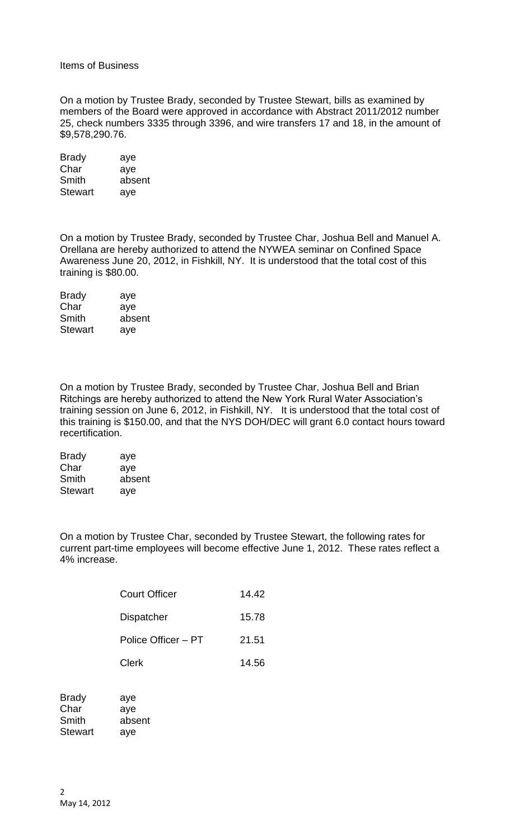#### Items of Business

On a motion by Trustee Brady, seconded by Trustee Stewart, bills as examined by members of the Board were approved in accordance with Abstract 2011/2012 number 25, check numbers 3335 through 3396, and wire transfers 17 and 18, in the amount of \$9,578,290.76.

| aye    |
|--------|
| aye    |
| absent |
| aye    |
|        |

On a motion by Trustee Brady, seconded by Trustee Char, Joshua Bell and Manuel A. Orellana are hereby authorized to attend the NYWEA seminar on Confined Space Awareness June 20, 2012, in Fishkill, NY. It is understood that the total cost of this training is \$80.00.

| <b>Brady</b>   | aye    |
|----------------|--------|
| Char           | aye    |
| Smith          | absent |
| <b>Stewart</b> | aye    |

On a motion by Trustee Brady, seconded by Trustee Char, Joshua Bell and Brian Ritchings are hereby authorized to attend the New York Rural Water Association's training session on June 6, 2012, in Fishkill, NY. It is understood that the total cost of this training is \$150.00, and that the NYS DOH/DEC will grant 6.0 contact hours toward recertification.

| <b>Brady</b> | aye    |
|--------------|--------|
| Char         | aye    |
| Smith        | absent |
| Stewart      | aye    |

On a motion by Trustee Char, seconded by Trustee Stewart, the following rates for current part-time employees will become effective June 1, 2012. These rates reflect a 4% increase.

| Court Officer       | 14.42 |
|---------------------|-------|
| <b>Dispatcher</b>   | 15.78 |
| Police Officer - PT | 21.51 |
| Clerk               | 14.56 |

| <b>Brady</b>   | aye    |
|----------------|--------|
| Char           | ave    |
| Smith          | absent |
| <b>Stewart</b> | aye    |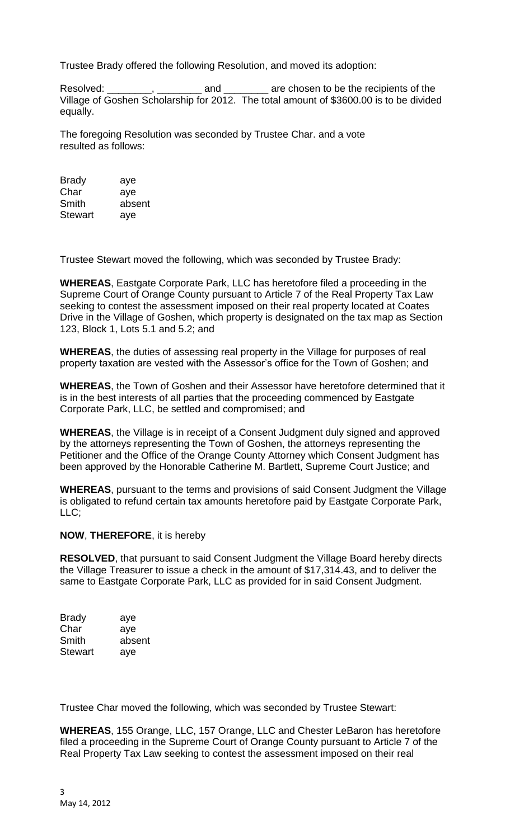Trustee Brady offered the following Resolution, and moved its adoption:

Resolved: \_\_\_\_\_\_\_\_, \_\_\_\_\_\_\_\_\_ and \_\_\_\_\_\_\_\_ are chosen to be the recipients of the Village of Goshen Scholarship for 2012. The total amount of \$3600.00 is to be divided equally.

The foregoing Resolution was seconded by Trustee Char. and a vote resulted as follows:

| <b>Brady</b>   | aye    |
|----------------|--------|
| Char           | ave    |
| Smith          | absent |
| <b>Stewart</b> | aye    |

Trustee Stewart moved the following, which was seconded by Trustee Brady:

**WHEREAS**, Eastgate Corporate Park, LLC has heretofore filed a proceeding in the Supreme Court of Orange County pursuant to Article 7 of the Real Property Tax Law seeking to contest the assessment imposed on their real property located at Coates Drive in the Village of Goshen, which property is designated on the tax map as Section 123, Block 1, Lots 5.1 and 5.2; and

**WHEREAS**, the duties of assessing real property in the Village for purposes of real property taxation are vested with the Assessor's office for the Town of Goshen; and

**WHEREAS**, the Town of Goshen and their Assessor have heretofore determined that it is in the best interests of all parties that the proceeding commenced by Eastgate Corporate Park, LLC, be settled and compromised; and

**WHEREAS**, the Village is in receipt of a Consent Judgment duly signed and approved by the attorneys representing the Town of Goshen, the attorneys representing the Petitioner and the Office of the Orange County Attorney which Consent Judgment has been approved by the Honorable Catherine M. Bartlett, Supreme Court Justice; and

**WHEREAS**, pursuant to the terms and provisions of said Consent Judgment the Village is obligated to refund certain tax amounts heretofore paid by Eastgate Corporate Park, LLC;

#### **NOW**, **THEREFORE**, it is hereby

**RESOLVED**, that pursuant to said Consent Judgment the Village Board hereby directs the Village Treasurer to issue a check in the amount of \$17,314.43, and to deliver the same to Eastgate Corporate Park, LLC as provided for in said Consent Judgment.

| <b>Brady</b>   | aye    |
|----------------|--------|
| Char           | aye    |
| Smith          | absent |
| <b>Stewart</b> | aye    |

Trustee Char moved the following, which was seconded by Trustee Stewart:

**WHEREAS**, 155 Orange, LLC, 157 Orange, LLC and Chester LeBaron has heretofore filed a proceeding in the Supreme Court of Orange County pursuant to Article 7 of the Real Property Tax Law seeking to contest the assessment imposed on their real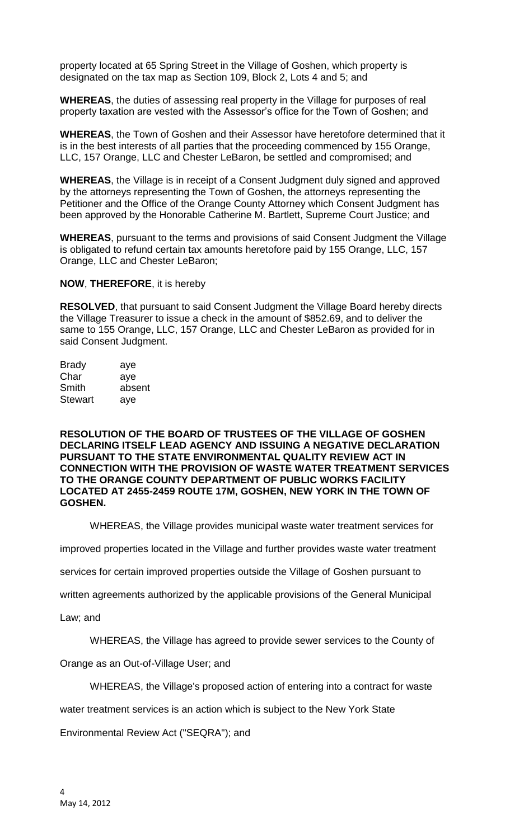property located at 65 Spring Street in the Village of Goshen, which property is designated on the tax map as Section 109, Block 2, Lots 4 and 5; and

**WHEREAS**, the duties of assessing real property in the Village for purposes of real property taxation are vested with the Assessor's office for the Town of Goshen; and

**WHEREAS**, the Town of Goshen and their Assessor have heretofore determined that it is in the best interests of all parties that the proceeding commenced by 155 Orange, LLC, 157 Orange, LLC and Chester LeBaron, be settled and compromised; and

**WHEREAS**, the Village is in receipt of a Consent Judgment duly signed and approved by the attorneys representing the Town of Goshen, the attorneys representing the Petitioner and the Office of the Orange County Attorney which Consent Judgment has been approved by the Honorable Catherine M. Bartlett, Supreme Court Justice; and

**WHEREAS**, pursuant to the terms and provisions of said Consent Judgment the Village is obligated to refund certain tax amounts heretofore paid by 155 Orange, LLC, 157 Orange, LLC and Chester LeBaron;

#### **NOW**, **THEREFORE**, it is hereby

**RESOLVED**, that pursuant to said Consent Judgment the Village Board hereby directs the Village Treasurer to issue a check in the amount of \$852.69, and to deliver the same to 155 Orange, LLC, 157 Orange, LLC and Chester LeBaron as provided for in said Consent Judgment.

| aye    |
|--------|
| ave    |
| absent |
| aye    |
|        |

**RESOLUTION OF THE BOARD OF TRUSTEES OF THE VILLAGE OF GOSHEN DECLARING ITSELF LEAD AGENCY AND ISSUING A NEGATIVE DECLARATION PURSUANT TO THE STATE ENVIRONMENTAL QUALITY REVIEW ACT IN CONNECTION WITH THE PROVISION OF WASTE WATER TREATMENT SERVICES TO THE ORANGE COUNTY DEPARTMENT OF PUBLIC WORKS FACILITY LOCATED AT 2455-2459 ROUTE 17M, GOSHEN, NEW YORK IN THE TOWN OF GOSHEN.** 

WHEREAS, the Village provides municipal waste water treatment services for

improved properties located in the Village and further provides waste water treatment

services for certain improved properties outside the Village of Goshen pursuant to

written agreements authorized by the applicable provisions of the General Municipal

Law; and

WHEREAS, the Village has agreed to provide sewer services to the County of

Orange as an Out-of-Village User; and

WHEREAS, the Village's proposed action of entering into a contract for waste

water treatment services is an action which is subject to the New York State

Environmental Review Act ("SEQRA"); and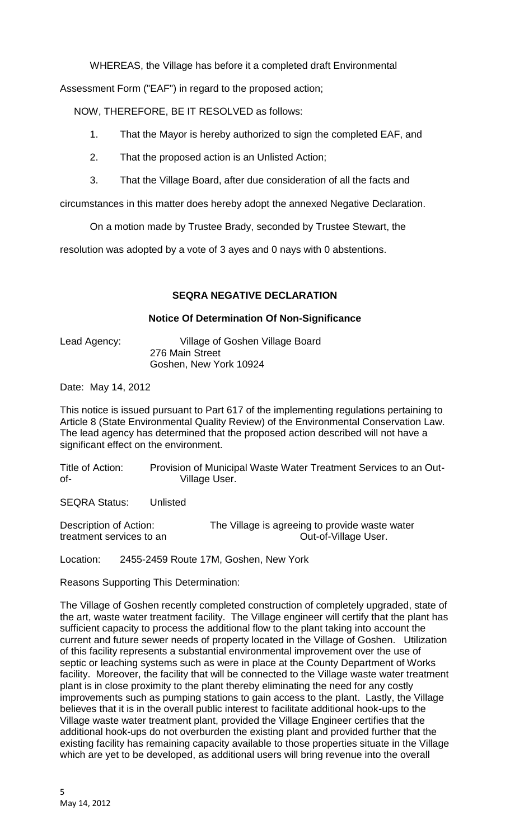WHEREAS, the Village has before it a completed draft Environmental

Assessment Form ("EAF") in regard to the proposed action;

NOW, THEREFORE, BE IT RESOLVED as follows:

- 1. That the Mayor is hereby authorized to sign the completed EAF, and
- 2. That the proposed action is an Unlisted Action;
- 3. That the Village Board, after due consideration of all the facts and

circumstances in this matter does hereby adopt the annexed Negative Declaration.

On a motion made by Trustee Brady, seconded by Trustee Stewart, the

resolution was adopted by a vote of 3 ayes and 0 nays with 0 abstentions.

# **SEQRA NEGATIVE DECLARATION**

## **Notice Of Determination Of Non-Significance**

Lead Agency: Village of Goshen Village Board 276 Main Street Goshen, New York 10924

Date: May 14, 2012

This notice is issued pursuant to Part 617 of the implementing regulations pertaining to Article 8 (State Environmental Quality Review) of the Environmental Conservation Law. The lead agency has determined that the proposed action described will not have a significant effect on the environment.

Title of Action: Provision of Municipal Waste Water Treatment Services to an Outof- Village User.

SEQRA Status: Unlisted

Description of Action: The Village is agreeing to provide waste water treatment services to an **Out-of-Village User**.

Location: 2455-2459 Route 17M, Goshen, New York

Reasons Supporting This Determination:

The Village of Goshen recently completed construction of completely upgraded, state of the art, waste water treatment facility. The Village engineer will certify that the plant has sufficient capacity to process the additional flow to the plant taking into account the current and future sewer needs of property located in the Village of Goshen. Utilization of this facility represents a substantial environmental improvement over the use of septic or leaching systems such as were in place at the County Department of Works facility. Moreover, the facility that will be connected to the Village waste water treatment plant is in close proximity to the plant thereby eliminating the need for any costly improvements such as pumping stations to gain access to the plant. Lastly, the Village believes that it is in the overall public interest to facilitate additional hook-ups to the Village waste water treatment plant, provided the Village Engineer certifies that the additional hook-ups do not overburden the existing plant and provided further that the existing facility has remaining capacity available to those properties situate in the Village which are yet to be developed, as additional users will bring revenue into the overall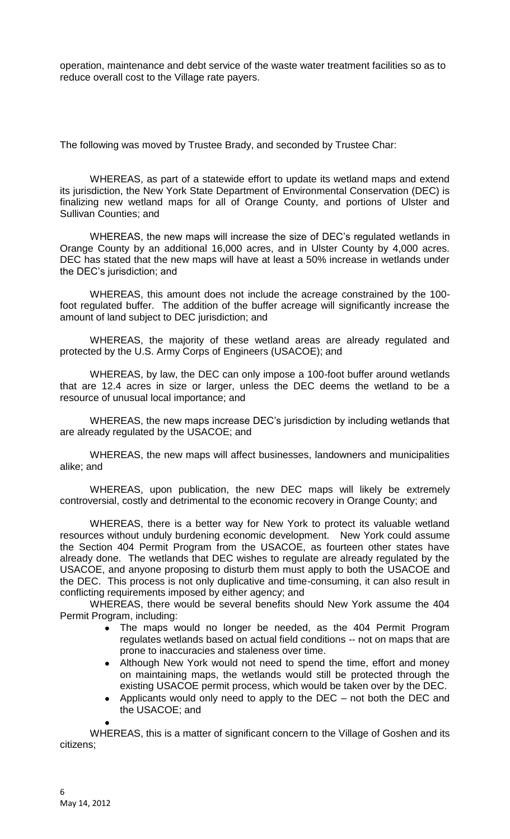operation, maintenance and debt service of the waste water treatment facilities so as to reduce overall cost to the Village rate payers.

The following was moved by Trustee Brady, and seconded by Trustee Char:

WHEREAS, as part of a statewide effort to update its wetland maps and extend its jurisdiction, the New York State Department of Environmental Conservation (DEC) is finalizing new wetland maps for all of Orange County, and portions of Ulster and Sullivan Counties; and

WHEREAS, the new maps will increase the size of DEC's regulated wetlands in Orange County by an additional 16,000 acres, and in Ulster County by 4,000 acres. DEC has stated that the new maps will have at least a 50% increase in wetlands under the DEC's jurisdiction; and

WHEREAS, this amount does not include the acreage constrained by the 100 foot regulated buffer. The addition of the buffer acreage will significantly increase the amount of land subject to DEC jurisdiction; and

WHEREAS, the majority of these wetland areas are already regulated and protected by the U.S. Army Corps of Engineers (USACOE); and

WHEREAS, by law, the DEC can only impose a 100-foot buffer around wetlands that are 12.4 acres in size or larger, unless the DEC deems the wetland to be a resource of unusual local importance; and

WHEREAS, the new maps increase DEC's jurisdiction by including wetlands that are already regulated by the USACOE; and

WHEREAS, the new maps will affect businesses, landowners and municipalities alike; and

WHEREAS, upon publication, the new DEC maps will likely be extremely controversial, costly and detrimental to the economic recovery in Orange County; and

WHEREAS, there is a better way for New York to protect its valuable wetland resources without unduly burdening economic development. New York could assume the Section 404 Permit Program from the USACOE, as fourteen other states have already done. The wetlands that DEC wishes to regulate are already regulated by the USACOE, and anyone proposing to disturb them must apply to both the USACOE and the DEC. This process is not only duplicative and time-consuming, it can also result in conflicting requirements imposed by either agency; and

WHEREAS, there would be several benefits should New York assume the 404 Permit Program, including:

- $\bullet$ The maps would no longer be needed, as the 404 Permit Program regulates wetlands based on actual field conditions -- not on maps that are prone to inaccuracies and staleness over time.
- Although New York would not need to spend the time, effort and money  $\bullet$ on maintaining maps, the wetlands would still be protected through the existing USACOE permit process, which would be taken over by the DEC.
- Applicants would only need to apply to the DEC not both the DEC and  $\bullet$ the USACOE; and

WHEREAS, this is a matter of significant concern to the Village of Goshen and its citizens;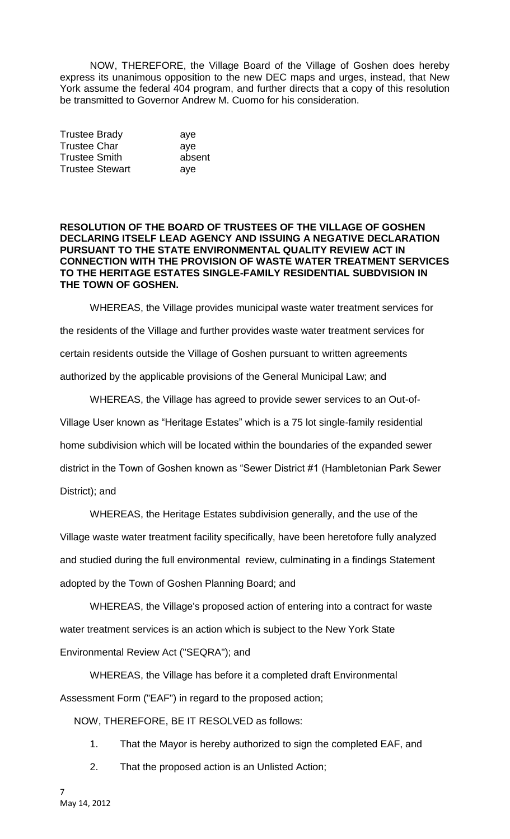NOW, THEREFORE, the Village Board of the Village of Goshen does hereby express its unanimous opposition to the new DEC maps and urges, instead, that New York assume the federal 404 program, and further directs that a copy of this resolution be transmitted to Governor Andrew M. Cuomo for his consideration.

| <b>Trustee Brady</b>   | aye    |
|------------------------|--------|
| <b>Trustee Char</b>    | ave    |
| <b>Trustee Smith</b>   | absent |
| <b>Trustee Stewart</b> | aye    |

### **RESOLUTION OF THE BOARD OF TRUSTEES OF THE VILLAGE OF GOSHEN DECLARING ITSELF LEAD AGENCY AND ISSUING A NEGATIVE DECLARATION PURSUANT TO THE STATE ENVIRONMENTAL QUALITY REVIEW ACT IN CONNECTION WITH THE PROVISION OF WASTE WATER TREATMENT SERVICES TO THE HERITAGE ESTATES SINGLE-FAMILY RESIDENTIAL SUBDVISION IN THE TOWN OF GOSHEN.**

WHEREAS, the Village provides municipal waste water treatment services for the residents of the Village and further provides waste water treatment services for certain residents outside the Village of Goshen pursuant to written agreements authorized by the applicable provisions of the General Municipal Law; and

WHEREAS, the Village has agreed to provide sewer services to an Out-of-Village User known as "Heritage Estates" which is a 75 lot single-family residential home subdivision which will be located within the boundaries of the expanded sewer district in the Town of Goshen known as "Sewer District #1 (Hambletonian Park Sewer District); and

WHEREAS, the Heritage Estates subdivision generally, and the use of the Village waste water treatment facility specifically, have been heretofore fully analyzed and studied during the full environmental review, culminating in a findings Statement adopted by the Town of Goshen Planning Board; and

WHEREAS, the Village's proposed action of entering into a contract for waste water treatment services is an action which is subject to the New York State Environmental Review Act ("SEQRA"); and

WHEREAS, the Village has before it a completed draft Environmental Assessment Form ("EAF") in regard to the proposed action;

NOW, THEREFORE, BE IT RESOLVED as follows:

1. That the Mayor is hereby authorized to sign the completed EAF, and

2. That the proposed action is an Unlisted Action;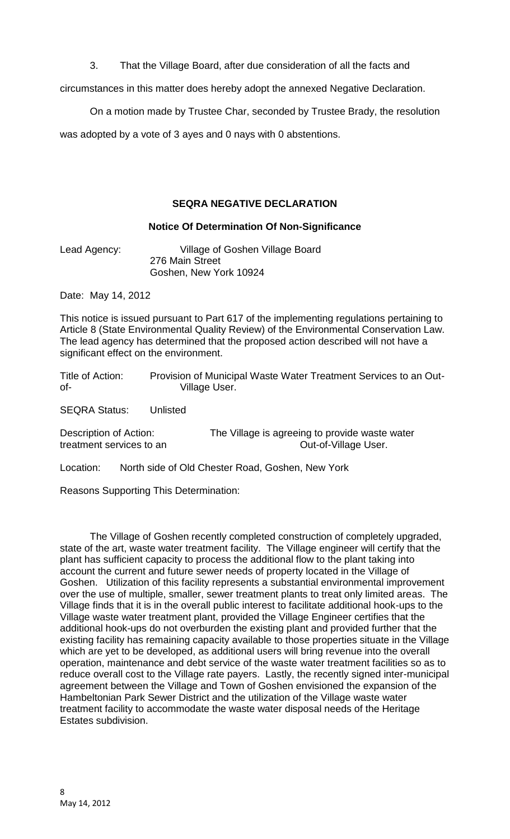3. That the Village Board, after due consideration of all the facts and

circumstances in this matter does hereby adopt the annexed Negative Declaration.

On a motion made by Trustee Char, seconded by Trustee Brady, the resolution

was adopted by a vote of 3 ayes and 0 nays with 0 abstentions.

# **SEQRA NEGATIVE DECLARATION**

## **Notice Of Determination Of Non-Significance**

Lead Agency: Village of Goshen Village Board 276 Main Street Goshen, New York 10924

Date: May 14, 2012

This notice is issued pursuant to Part 617 of the implementing regulations pertaining to Article 8 (State Environmental Quality Review) of the Environmental Conservation Law. The lead agency has determined that the proposed action described will not have a significant effect on the environment.

Title of Action: Provision of Municipal Waste Water Treatment Services to an Outof- Village User.

SEQRA Status: Unlisted

Description of Action: The Village is agreeing to provide waste water treatment services to an **Out-of-Village User**.

Location: North side of Old Chester Road, Goshen, New York

Reasons Supporting This Determination:

The Village of Goshen recently completed construction of completely upgraded, state of the art, waste water treatment facility. The Village engineer will certify that the plant has sufficient capacity to process the additional flow to the plant taking into account the current and future sewer needs of property located in the Village of Goshen. Utilization of this facility represents a substantial environmental improvement over the use of multiple, smaller, sewer treatment plants to treat only limited areas. The Village finds that it is in the overall public interest to facilitate additional hook-ups to the Village waste water treatment plant, provided the Village Engineer certifies that the additional hook-ups do not overburden the existing plant and provided further that the existing facility has remaining capacity available to those properties situate in the Village which are yet to be developed, as additional users will bring revenue into the overall operation, maintenance and debt service of the waste water treatment facilities so as to reduce overall cost to the Village rate payers. Lastly, the recently signed inter-municipal agreement between the Village and Town of Goshen envisioned the expansion of the Hambeltonian Park Sewer District and the utilization of the Village waste water treatment facility to accommodate the waste water disposal needs of the Heritage Estates subdivision.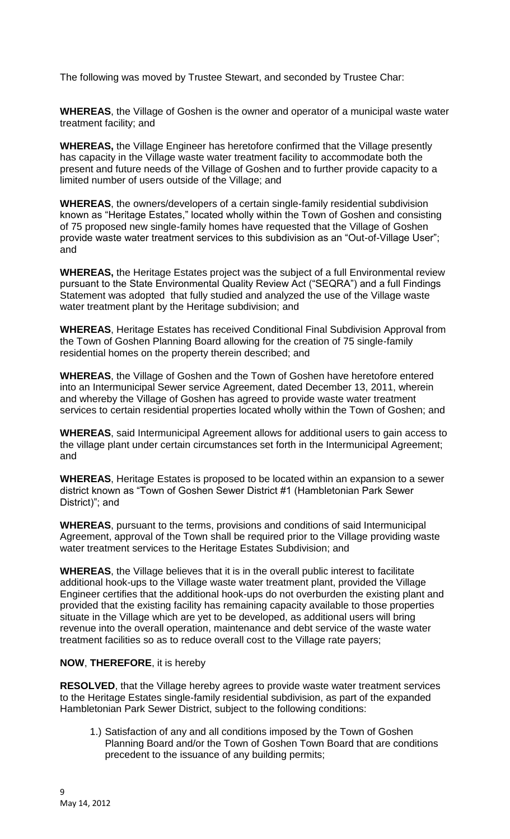The following was moved by Trustee Stewart, and seconded by Trustee Char:

**WHEREAS**, the Village of Goshen is the owner and operator of a municipal waste water treatment facility; and

**WHEREAS,** the Village Engineer has heretofore confirmed that the Village presently has capacity in the Village waste water treatment facility to accommodate both the present and future needs of the Village of Goshen and to further provide capacity to a limited number of users outside of the Village; and

**WHEREAS**, the owners/developers of a certain single-family residential subdivision known as "Heritage Estates," located wholly within the Town of Goshen and consisting of 75 proposed new single-family homes have requested that the Village of Goshen provide waste water treatment services to this subdivision as an "Out-of-Village User"; and

**WHEREAS,** the Heritage Estates project was the subject of a full Environmental review pursuant to the State Environmental Quality Review Act ("SEQRA") and a full Findings Statement was adopted that fully studied and analyzed the use of the Village waste water treatment plant by the Heritage subdivision; and

**WHEREAS**, Heritage Estates has received Conditional Final Subdivision Approval from the Town of Goshen Planning Board allowing for the creation of 75 single-family residential homes on the property therein described; and

**WHEREAS**, the Village of Goshen and the Town of Goshen have heretofore entered into an Intermunicipal Sewer service Agreement, dated December 13, 2011, wherein and whereby the Village of Goshen has agreed to provide waste water treatment services to certain residential properties located wholly within the Town of Goshen; and

**WHEREAS**, said Intermunicipal Agreement allows for additional users to gain access to the village plant under certain circumstances set forth in the Intermunicipal Agreement; and

**WHEREAS**, Heritage Estates is proposed to be located within an expansion to a sewer district known as "Town of Goshen Sewer District #1 (Hambletonian Park Sewer District)"; and

**WHEREAS**, pursuant to the terms, provisions and conditions of said Intermunicipal Agreement, approval of the Town shall be required prior to the Village providing waste water treatment services to the Heritage Estates Subdivision; and

**WHEREAS**, the Village believes that it is in the overall public interest to facilitate additional hook-ups to the Village waste water treatment plant, provided the Village Engineer certifies that the additional hook-ups do not overburden the existing plant and provided that the existing facility has remaining capacity available to those properties situate in the Village which are yet to be developed, as additional users will bring revenue into the overall operation, maintenance and debt service of the waste water treatment facilities so as to reduce overall cost to the Village rate payers;

# **NOW**, **THEREFORE**, it is hereby

**RESOLVED**, that the Village hereby agrees to provide waste water treatment services to the Heritage Estates single-family residential subdivision, as part of the expanded Hambletonian Park Sewer District, subject to the following conditions:

1.) Satisfaction of any and all conditions imposed by the Town of Goshen Planning Board and/or the Town of Goshen Town Board that are conditions precedent to the issuance of any building permits;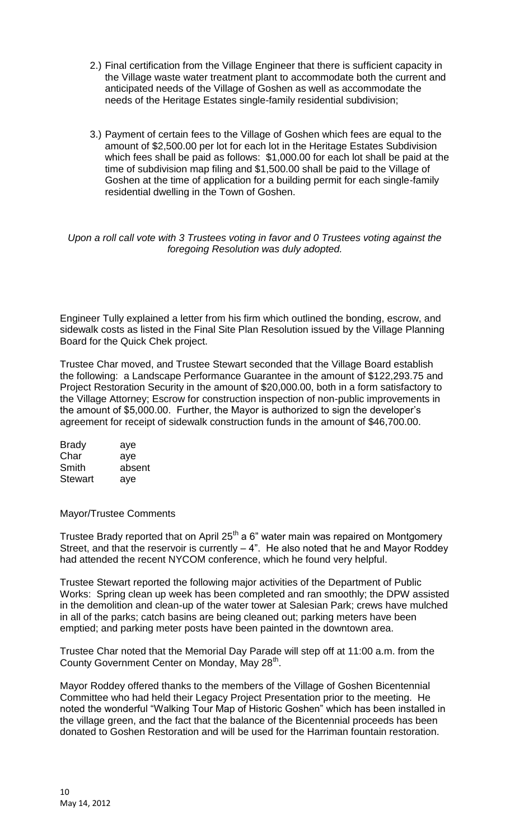- 2.) Final certification from the Village Engineer that there is sufficient capacity in the Village waste water treatment plant to accommodate both the current and anticipated needs of the Village of Goshen as well as accommodate the needs of the Heritage Estates single-family residential subdivision;
- 3.) Payment of certain fees to the Village of Goshen which fees are equal to the amount of \$2,500.00 per lot for each lot in the Heritage Estates Subdivision which fees shall be paid as follows: \$1,000.00 for each lot shall be paid at the time of subdivision map filing and \$1,500.00 shall be paid to the Village of Goshen at the time of application for a building permit for each single-family residential dwelling in the Town of Goshen.

*Upon a roll call vote with 3 Trustees voting in favor and 0 Trustees voting against the foregoing Resolution was duly adopted.*

Engineer Tully explained a letter from his firm which outlined the bonding, escrow, and sidewalk costs as listed in the Final Site Plan Resolution issued by the Village Planning Board for the Quick Chek project.

Trustee Char moved, and Trustee Stewart seconded that the Village Board establish the following: a Landscape Performance Guarantee in the amount of \$122,293.75 and Project Restoration Security in the amount of \$20,000.00, both in a form satisfactory to the Village Attorney; Escrow for construction inspection of non-public improvements in the amount of \$5,000.00. Further, the Mayor is authorized to sign the developer's agreement for receipt of sidewalk construction funds in the amount of \$46,700.00.

| <b>Brady</b>   | aye    |
|----------------|--------|
| Char           | aye    |
| Smith          | absent |
| <b>Stewart</b> | aye    |

#### Mayor/Trustee Comments

Trustee Brady reported that on April  $25<sup>th</sup>$  a 6" water main was repaired on Montgomery Street, and that the reservoir is currently – 4". He also noted that he and Mayor Roddey had attended the recent NYCOM conference, which he found very helpful.

Trustee Stewart reported the following major activities of the Department of Public Works: Spring clean up week has been completed and ran smoothly; the DPW assisted in the demolition and clean-up of the water tower at Salesian Park; crews have mulched in all of the parks; catch basins are being cleaned out; parking meters have been emptied; and parking meter posts have been painted in the downtown area.

Trustee Char noted that the Memorial Day Parade will step off at 11:00 a.m. from the County Government Center on Monday, May 28<sup>th</sup>.

Mayor Roddey offered thanks to the members of the Village of Goshen Bicentennial Committee who had held their Legacy Project Presentation prior to the meeting. He noted the wonderful "Walking Tour Map of Historic Goshen" which has been installed in the village green, and the fact that the balance of the Bicentennial proceeds has been donated to Goshen Restoration and will be used for the Harriman fountain restoration.